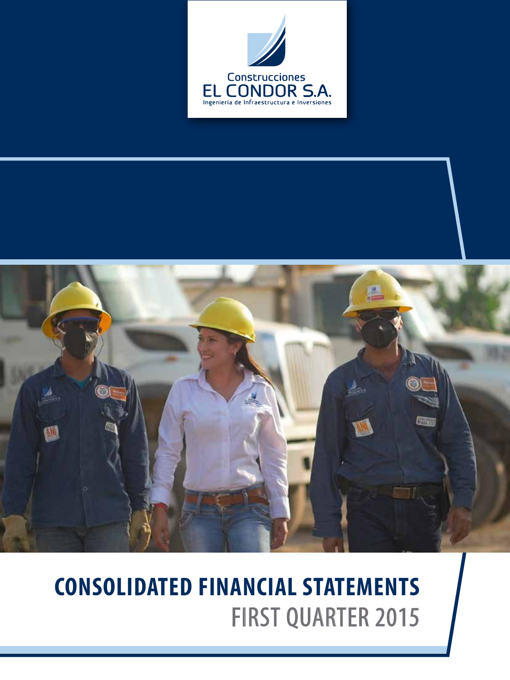



# **CONSOLIDATED FINANCIAL STATEMENTS** FIRST QUARTER 2015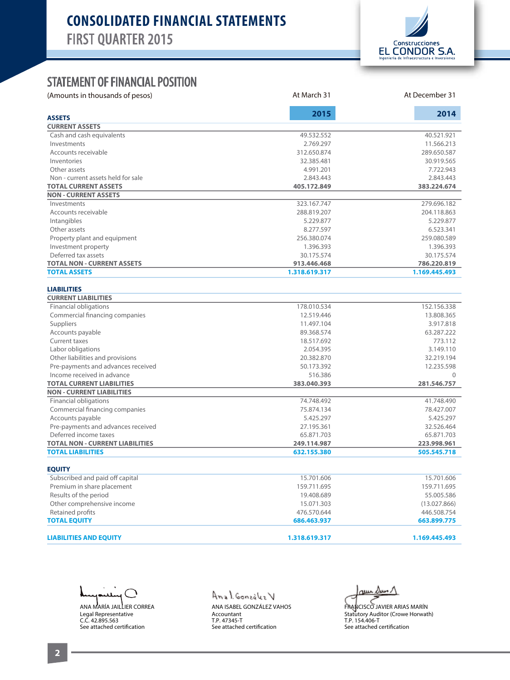

At March 31 At December 31

#### STATEMENT OF FINANCIAL POSITION

(Amounts in thousands of pesos)

|                                            | 2015                     | 2014                     |
|--------------------------------------------|--------------------------|--------------------------|
| <b>ASSETS</b>                              |                          |                          |
| <b>CURRENT ASSETS</b>                      |                          |                          |
| Cash and cash equivalents                  | 49.532.552               | 40.521.921               |
| Investments                                | 2.769.297                | 11.566.213               |
| Accounts receivable                        | 312.650.874              | 289.650.587              |
| Inventories                                | 32.385.481               | 30.919.565               |
| Other assets                               | 4.991.201                | 7.722.943                |
| Non - current assets held for sale         | 2.843.443                | 2.843.443                |
| <b>TOTAL CURRENT ASSETS</b>                | 405.172.849              | 383.224.674              |
| <b>NON - CURRENT ASSETS</b><br>Investments | 323.167.747              | 279.696.182              |
| Accounts receivable                        | 288.819.207              | 204.118.863              |
|                                            | 5.229.877                | 5.229.877                |
| Intangibles                                |                          |                          |
| Other assets                               | 8.277.597                | 6.523.341<br>259.080.589 |
| Property plant and equipment               | 256.380.074<br>1.396.393 | 1.396.393                |
| Investment property<br>Deferred tax assets | 30.175.574               | 30.175.574               |
| <b>TOTAL NON - CURRENT ASSETS</b>          | 913.446.468              | 786.220.819              |
| <b>TOTAL ASSETS</b>                        | 1.318.619.317            | 1.169.445.493            |
|                                            |                          |                          |
| <b>LIABILITIES</b>                         |                          |                          |
| <b>CURRENT LIABILITIES</b>                 |                          |                          |
| Financial obligations                      | 178.010.534              | 152.156.338              |
| Commercial financing companies             | 12.519.446               | 13.808.365               |
| Suppliers                                  | 11.497.104               | 3.917.818                |
| Accounts payable                           | 89.368.574               | 63.287.222               |
| Current taxes                              | 18.517.692               | 773.112                  |
| Labor obligations                          | 2.054.395                | 3.149.110                |
| Other liabilities and provisions           | 20.382.870               | 32.219.194               |
| Pre-payments and advances received         | 50.173.392               | 12.235.598               |
| Income received in advance                 | 516.386                  | $\Omega$                 |
| <b>TOTAL CURRENT LIABILITIES</b>           | 383.040.393              | 281.546.757              |
| <b>NON - CURRENT LIABILITIES</b>           |                          |                          |
| <b>Financial obligations</b>               | 74.748.492               | 41.748.490               |
| Commercial financing companies             | 75.874.134               | 78.427.007               |
| Accounts payable                           | 5.425.297                | 5.425.297                |
| Pre-payments and advances received         | 27.195.361               | 32.526.464               |
| Deferred income taxes                      | 65.871.703               | 65.871.703               |
| <b>TOTAL NON - CURRENT LIABILITIES</b>     | 249.114.987              | 223.998.961              |
| <b>TOTAL LIABILITIES</b>                   | 632.155.380              | 505.545.718              |
|                                            |                          |                          |
| <b>EQUITY</b>                              |                          |                          |
| Subscribed and paid off capital            | 15.701.606               | 15.701.606               |
| Premium in share placement                 | 159.711.695              | 159.711.695              |
| Results of the period                      | 19.408.689               | 55.005.586               |
| Other comprehensive income                 | 15.071.303               | (13.027.866)             |
| Retained profits                           | 476.570.644              | 446.508.754              |
| <b>TOTAL EQUITY</b>                        | 686.463.937              | 663.899.775              |
|                                            |                          |                          |
| <b>LIABILITIES AND EQUITY</b>              | 1.318.619.317            | 1.169.445.493            |

╲ ANA MARÍA JAILLIER CORREA Legal Representative C.C. 42.895.563 See attached certification

Anal González V ANA ISABEL GONZÁLEZ VAHOS Accountant T.P. 47345-T See attached certification

 $\omega$ uu  $\Delta$ uun  $\Lambda$ 

FRANCISCO JAVIER ARIAS MARÍN Statūtory Auditor (Crowe Horwath)<br>T.P. 154.406-T See attached certification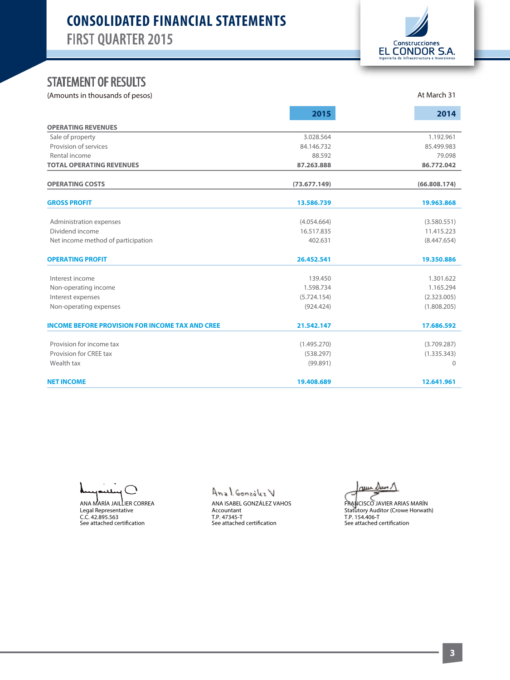# **CONSOLIDATED FINANCIAL STATEMENTS** FIRST QUARTER 2015



At March 31

## STATEMENT OF RESULTS

(Amounts in thousands of pesos)

|                                                        | 2015                     | 2014                       |
|--------------------------------------------------------|--------------------------|----------------------------|
| <b>OPERATING REVENUES</b>                              |                          |                            |
| Sale of property                                       | 3.028.564                | 1.192.961                  |
| Provision of services                                  | 84.146.732               | 85.499.983                 |
| Rental income                                          | 88.592                   | 79.098                     |
| <b>TOTAL OPERATING REVENUES</b>                        | 87.263.888               | 86.772.042                 |
| <b>OPERATING COSTS</b>                                 | (73.677.149)             | (66.808.174)               |
| <b>GROSS PROFIT</b>                                    | 13.586.739               | 19.963.868                 |
|                                                        | (4.054.664)              | (3.580.551)                |
| Administration expenses<br>Dividend income             | 16.517.835               | 11.415.223                 |
| Net income method of participation                     | 402.631                  | (8.447.654)                |
| <b>OPERATING PROFIT</b>                                | 26.452.541               | 19.350.886                 |
|                                                        |                          |                            |
| Interest income                                        | 139,450<br>1.598.734     | 1.301.622                  |
| Non-operating income                                   |                          | 1.165.294                  |
| Interest expenses<br>Non-operating expenses            | (5.724.154)<br>(924.424) | (2.323.005)<br>(1.808.205) |
| <b>INCOME BEFORE PROVISION FOR INCOME TAX AND CREE</b> | 21.542.147               | 17.686.592                 |
| Provision for income tax                               | (1.495.270)              | (3.709.287)                |
| Provision for CREE tax                                 | (538.297)                | (1.335.343)                |
| Wealth tax                                             | (99.891)                 | $\mathbf{0}$               |
| <b>NET INCOME</b>                                      | 19.408.689               | 12.641.961                 |

ANA MARÍA JAILLIER CORREA Legal Representative C.C. 42.895.563 See attached certication

Anal González V

ANA ISABEL GONZÁLEZ VAHOS Accountant T.P. 47345-T<br>See attached certification

au Dun 1

FRANCISCO JAVIER ARIAS MARÍN Statutory Auditor (Crowe Horwath) T.P. 154.406-T<br>See attached certification

**3**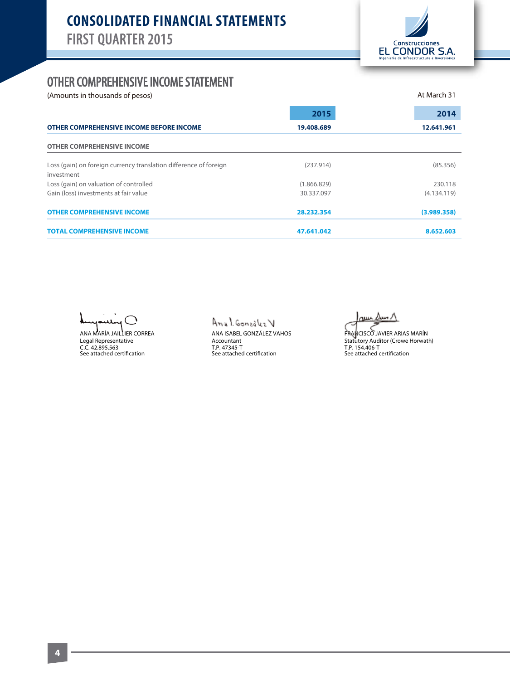

## OTHER COMPREHENSIVE INCOME STATEMENT

(Amounts in thousands of pesos) and the state of the state of persons and the state of the state of persons and  $\alpha$  at March 31

| OTHER COMPREHENSIVE INCOME BEFORE INCOME                                        | 2015        | 2014<br>12.641.961 |
|---------------------------------------------------------------------------------|-------------|--------------------|
|                                                                                 | 19.408.689  |                    |
| <b>OTHER COMPREHENSIVE INCOME</b>                                               |             |                    |
| Loss (gain) on foreign currency translation difference of foreign<br>investment | (237.914)   | (85.356)           |
| Loss (gain) on valuation of controlled                                          | (1.866.829) | 230.118            |
| Gain (loss) investments at fair value                                           | 30.337.097  | (4.134.119)        |
| <b>OTHER COMPREHENSIVE INCOME</b>                                               | 28.232.354  | (3.989.358)        |
| <b>TOTAL COMPREHENSIVE INCOME</b>                                               | 47.641.042  | 8.652.603          |

 $\bigcap$ عليا

ANA MARÍA JAILLIER CORREA Legal Representative<br>C.C. 42.895.563<br>See attached certification

Anal González V ANA ISABEL GONZÁLEZ VAHOS Accountant T.P. 47345-T<br>See attached certification

ruu

FRANCISCO JAVIER ARIAS MARÍN Statutory Auditor (Crowe Horwath)<br>T.P. 154.406-T<br>See attached certification